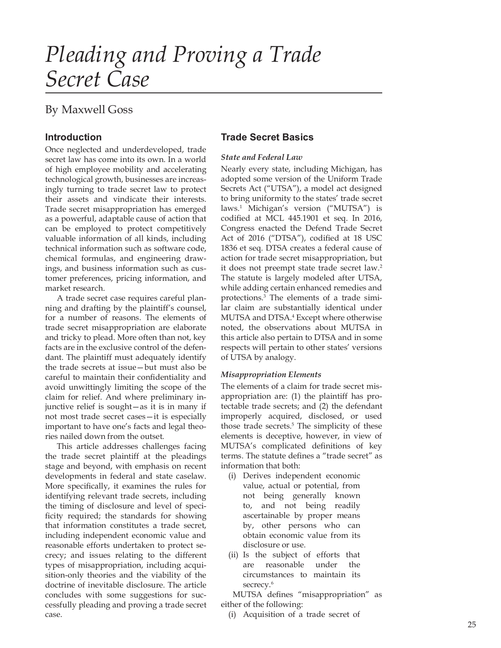# Pleading and Proving a Trade Secret Case

# **By Maxwell Goss**

# **Introduction**

Once neglected and underdeveloped, trade secret law has come into its own. In a world of high employee mobility and accelerating technological growth, businesses are increasingly turning to trade secret law to protect their assets and vindicate their interests. Trade secret misappropriation has emerged as a powerful, adaptable cause of action that can be employed to protect competitively valuable information of all kinds, including technical information such as software code, chemical formulas, and engineering drawings, and business information such as customer preferences, pricing information, and market research.

A trade secret case requires careful planning and drafting by the plaintiff's counsel, for a number of reasons. The elements of trade secret misappropriation are elaborate and tricky to plead. More often than not, key facts are in the exclusive control of the defendant. The plaintiff must adequately identify the trade secrets at issue-but must also be careful to maintain their confidentiality and avoid unwittingly limiting the scope of the claim for relief. And where preliminary injunctive relief is sought-as it is in many if not most trade secret cases-it is especially important to have one's facts and legal theories nailed down from the outset.

This article addresses challenges facing the trade secret plaintiff at the pleadings stage and beyond, with emphasis on recent developments in federal and state caselaw. More specifically, it examines the rules for identifying relevant trade secrets, including the timing of disclosure and level of specificity required; the standards for showing that information constitutes a trade secret, including independent economic value and reasonable efforts undertaken to protect secrecy; and issues relating to the different types of misappropriation, including acquisition-only theories and the viability of the doctrine of inevitable disclosure. The article concludes with some suggestions for successfully pleading and proving a trade secret case.

## **Trade Secret Basics**

#### **State and Federal Law**

Nearly every state, including Michigan, has adopted some version of the Uniform Trade Secrets Act ("UTSA"), a model act designed to bring uniformity to the states' trade secret laws.<sup>1</sup> Michigan's version ("MUTSA") is codified at MCL 445.1901 et seq. In 2016, Congress enacted the Defend Trade Secret Act of 2016 ("DTSA"), codified at 18 USC 1836 et seg. DTSA creates a federal cause of action for trade secret misappropriation, but it does not preempt state trade secret law.<sup>2</sup> The statute is largely modeled after UTSA, while adding certain enhanced remedies and protections.<sup>3</sup> The elements of a trade similar claim are substantially identical under MUTSA and DTSA.<sup>4</sup> Except where otherwise noted, the observations about MUTSA in this article also pertain to DTSA and in some respects will pertain to other states' versions of UTSA by analogy.

## **Misappropriation Elements**

The elements of a claim for trade secret misappropriation are: (1) the plaintiff has protectable trade secrets; and (2) the defendant improperly acquired, disclosed, or used those trade secrets.<sup>5</sup> The simplicity of these elements is deceptive, however, in view of MUTSA's complicated definitions of key terms. The statute defines a "trade secret" as information that both:

- (i) Derives independent economic value, actual or potential, from not being generally known to, and not being readily ascertainable by proper means by, other persons who can obtain economic value from its disclosure or use.
- (ii) Is the subject of efforts that are reasonable under the circumstances to maintain its secrecy.<sup>6</sup>

MUTSA defines "misappropriation" as either of the following:

(i) Acquisition of a trade secret of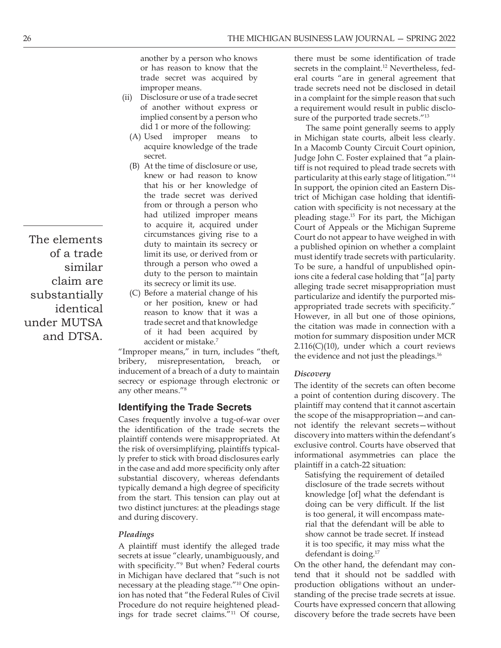- of another without express or implied consent by a person who did 1 or more of the following:
	- (A) Used improper means to acquire knowledge of the trade secret
- of a trade limit its use, or derived from or **Similar** through a person who owed a To be sure, a handful of unput claim are its secrecy or limit its use.  $(B)$  At the time of disclosure or use, the trade secret was derived from or through a person who had utilized improper means to acquire it, acquired under circumstances giving rise to a duty to maintain its secrecy or
- **Substantially** (C) Before a material change of his<br>or her position, knew or had **under MUTSA**  $\qquad \qquad \text{trade secret and that knowledge}$ accident or mistake.<sup>7</sup>

inducement of a breach of a duty to maintain secrecy or espionage through electronic or any other means."<sup>8</sup>

# Identifying the Trade Secrets

Cases frequently involve a tug-of-war over the identification of the trade secrets the plaintiff contends were misappropriated. At the risk of oversimplifying, plaintiffs typically prefer to stick with broad disclosures early in the case and add more specificity only after substantial discovery, whereas defendants typically demand a high degree of specificity<br>from the start. This tonsion can play out at a showledge [of] what the defendant is from the start. This tension can play out at two distinct junctures: at the pleadings stage and during discovery.

## Pleadings

A plaintiff must identify the alleged trade secrets at issue "clearly, unambiguously, and with specificity."<sup>9</sup> But when? Federal courts •• On the other hand, the de in Michigan have declared that "such is not that it should not be saddled with necessary at the pleading stage."<sup>10</sup> One opinion has noted that "the Federal Rules of Civil standing of the precise trade secrets at issue. Procedure do not require heightened pleadings for trade secret claims."<sup>11</sup> Of course,

THE MICHIGAN BUSINESS LAW JOURNAL – SPRING 2<br>another by a person who knows<br>or has reason to know that the<br>trade secret was acquired by<br>trade secret was acquired by<br>improper means.<br>Disclosure or use of a trade secret<br>of ano THE MICHIGAN BUSINESS LAW JOURNAL – SPRING 2022<br>another by a person who knows<br>or has reason to know that the<br>secrets in the complaint.<sup>12</sup> Nevertheless, fed-<br>trade secret was acquired by<br>improper means.<br>Disclosure or use o THE MICHIGAN BUSINESS LAW JOURNAL  $-$  8<br>
another by a person who knows<br>
or has reason to know that the<br>
trade secret was acquired by<br>
improper means.<br>
(ii) Disclosure or use of a trade secret<br>
of another without express o there must be some identification of trade secrets in the complaint.<sup>12</sup> Nevertheless, fed-BUSINESS LAW JOURNAL – SPRING 2022<br>there must be some identification of trade<br>secrets in the complaint.<sup>12</sup> Nevertheless, fed-<br>eral courts "are in general agreement that<br>trade secrets need not be disclosed in detail<br>in a c trade secrets need not be disclosed in detail in a complaint for the simple reason that such a requirement would result in public disclosure of the purported trade secrets."<sup>13</sup>

THE MICHIGAN BUSINESS LAW JOURNAL — SPRING 2022<br>
nother by a person who knows<br>
there must be some identification of trade<br>
r has reason to know that the<br>
secrets in the complaint.<sup>12</sup> Nevertheless, fed-<br>
and correct was a THE MICHIGAN BUSINESS LAW JOURNAL – SPRING 2022<br>
nother by a person who knows<br>
there must be some identification of trade<br>
r has reason to know that the<br>
secrets in the complaint.<sup>12</sup> Nevertheless, fed-<br>
rade secret was a  $\frac{1}{2}$  limit its use, or derived from or  $\frac{1}{2}$  must identify trade secrets with particularity. through a person who owed a<br>duty to the person to maintain in the same city a fodoral case holding that "[a] party. LATE the sumplement would result that section that is the purpored trade sected in a complaint for the simple reason of a notice implement would result in proper means to did 1 or more of the following: The same point gene Example conserved are a marginal of an explicit and simple denotes and a more of the purole of the purole and the state of the state of the state of the state in the state of the state of the state in a Maconb Contey Circ reason to know that it was a  $\frac{1}{2}$  However, in all but one of those opinions, trade secret and that knowledge the citation was made in connection with a Lead improper means to in Michiaga setare vomespective the call improper means to in Michiaga state courts, albeit less clearly.<br>
Secarities charge the track in a Maccumum Crite Court of principal,<br>
After time of disclosu Experimentation of the control of the control of the time of disclosure or use, that the time of disclosure or use, the parameter is a particular particularly states of the state of the state of the state of the state of The same point generally seems to apply in Michigan state courts, albeit less clearly. In a Macomb County Circuit Court opinion, Judge John C. Foster explained that "a plaintiff is not required to plead trade secrets with particularity at this early stage of litigation."<sup>14</sup> In support, the opinion cited an Eastern Dis trict of Michigan case holding that identification with specificity is not necessary at the pleading stage.<sup>15</sup> For its part, the Michigan Court of Appeals or the Michigan Supreme Court do not appear to have weighed in with a published opinion on whether a complaint secrets in the complaint.<sup>12</sup> Nevertheless, fed-<br>real courts "are in general agreement that<br>trade secrets need not be disclosed in detail<br>in a complaint for the simple reason that such<br>a requirement would result in public ions cite a federal case holding that "[a] party alleging trade secret misappropriation must particularize and identify the purported misappropriated trade secrets with specificity." sure of the purported trade secrets."<sup>13</sup><br>The same point generally seems to apply<br>in Michigan state courts, albeit less clearly.<br>In a Macomb County Circuit Court opinion,<br>Judge John C. Foster explained that "a plain-<br>tiff motion for summary disposition under MCR  $2.116(C)(10)$ , under which a court reviews the evidence and not just the pleadings.<sup>16</sup>

## Discovery

The identity of the secrets can often become a point of contention during discovery. The plaintiff may contend that it cannot ascertain the scope of the misappropriation—and cannot identify the relevant secrets—without discovery into matters within the defendant's exclusive control. Courts have observed that informational asymmetries can place the plaintiff in a catch-22 situation: ricularize and identify the purported mis-<br>propriated trade secrets with specificity."<br>wever, in all but one of those opinions,<br>idition was made in connection with a<br>tion for summary disposition under MCR<br> $16(C)(10)$ , under Discovery<br>The identity of the secrets can often become<br>plaintiff may contend that it cannot ascertain<br>the scope of the misappropriation — and can-<br>not identify the relevant secrets — without<br>discovery into matters within

Satisfying the requirement of detailed disclosure of the trade secrets without doing can be very difficult. If the list is too general, it will encompass material that the defendant will be able to show cannot be trade secret. If instead it is too specific, it may miss what the defendant is doing. $17$ 

On the other hand, the defendant may conproduction obligations without an under-Courts have expressed concern that allowing discovery before the trade secrets have been

The elements identical and DTSA.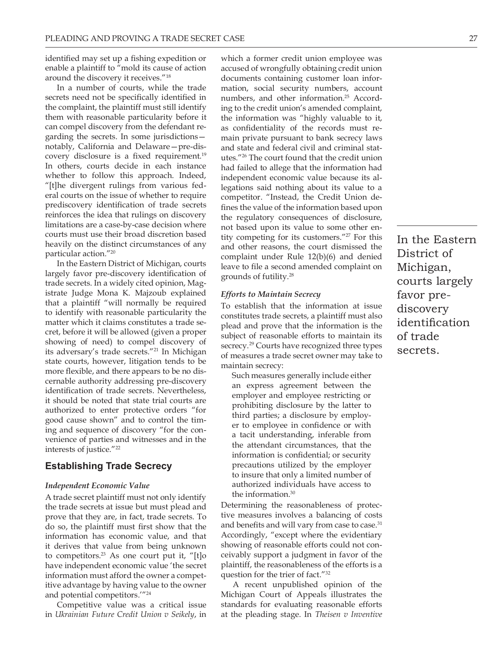identified may set up a fishing expedition or enable a plaintiff to "mold its cause of action around the discovery it receives."<sup>18</sup>

In a number of courts, while the trade secrets need not be specifically identified in the complaint, the plaintiff must still identify them with reasonable particularity before it can compel discovery from the defendant regarding the secrets. In some jurisdictions notably, California and Delaware-pre-discovery disclosure is a fixed requirement.<sup>19</sup> In others, courts decide in each instance whether to follow this approach. Indeed, "[t]he divergent rulings from various federal courts on the issue of whether to require prediscovery identification of trade secrets reinforces the idea that rulings on discovery limitations are a case-by-case decision where courts must use their broad discretion based heavily on the distinct circumstances of any particular action."20

In the Eastern District of Michigan, courts largely favor pre-discovery identification of trade secrets. In a widely cited opinion, Magistrate Judge Mona K. Majzoub explained that a plaintiff "will normally be required to identify with reasonable particularity the matter which it claims constitutes a trade secret, before it will be allowed (given a proper showing of need) to compel discovery of its adversary's trade secrets."<sup>21</sup> In Michigan state courts, however, litigation tends to be more flexible, and there appears to be no discernable authority addressing pre-discovery identification of trade secrets. Nevertheless, it should be noted that state trial courts are authorized to enter protective orders "for good cause shown" and to control the timing and sequence of discovery "for the convenience of parties and witnesses and in the interests of justice."<sup>22</sup>

## **Establishing Trade Secrecy**

#### **Independent Economic Value**

A trade secret plaintiff must not only identify the trade secrets at issue but must plead and prove that they are, in fact, trade secrets. To do so, the plaintiff must first show that the information has economic value, and that it derives that value from being unknown to competitors.<sup>23</sup> As one court put it, "[t]o have independent economic value 'the secret information must afford the owner a competitive advantage by having value to the owner and potential competitors."<sup>24</sup>

Competitive value was a critical issue in Ukrainian Future Credit Union v Seikely, in

which a former credit union employee was accused of wrongfully obtaining credit union documents containing customer loan information, social security numbers, account numbers, and other information.<sup>25</sup> According to the credit union's amended complaint, the information was "highly valuable to it, as confidentiality of the records must remain private pursuant to bank secrecy laws and state and federal civil and criminal statutes."<sup>26</sup> The court found that the credit union had failed to allege that the information had independent economic value because its allegations said nothing about its value to a competitor. "Instead, the Credit Union defines the value of the information based upon the regulatory consequences of disclosure, not based upon its value to some other entity competing for its customers."<sup>27</sup> For this and other reasons, the court dismissed the complaint under Rule 12(b)(6) and denied leave to file a second amended complaint on grounds of futility.<sup>28</sup>

#### **Efforts to Maintain Secrecy**

To establish that the information at issue constitutes trade secrets, a plaintiff must also plead and prove that the information is the subject of reasonable efforts to maintain its secrecy.<sup>29</sup> Courts have recognized three types of measures a trade secret owner may take to maintain secrecy:

Such measures generally include either an express agreement between the employer and employee restricting or prohibiting disclosure by the latter to third parties; a disclosure by employer to employee in confidence or with a tacit understanding, inferable from the attendant circumstances, that the information is confidential; or security precautions utilized by the employer to insure that only a limited number of authorized individuals have access to the information.<sup>30</sup>

Determining the reasonableness of protective measures involves a balancing of costs and benefits and will vary from case to case.<sup>31</sup> Accordingly, "except where the evidentiary showing of reasonable efforts could not conceivably support a judgment in favor of the plaintiff, the reasonableness of the efforts is a question for the trier of fact."32

A recent unpublished opinion of the Michigan Court of Appeals illustrates the standards for evaluating reasonable efforts at the pleading stage. In Theisen  $v$  Inventive In the Eastern District of Michigan, courts largely favor prediscovery identification of trade secrets.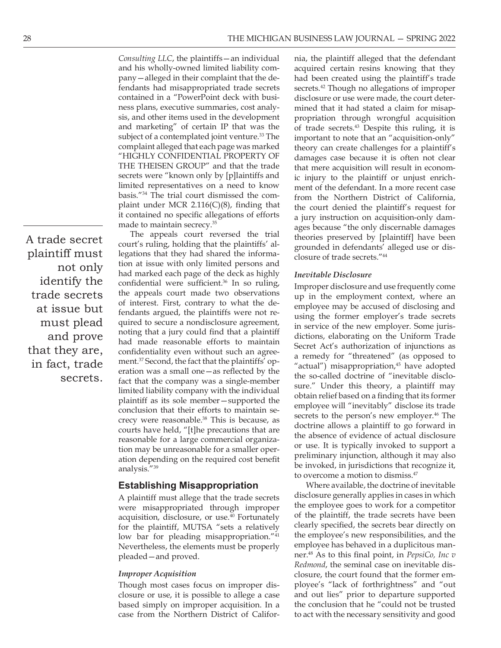A trade secret plaintiff must not only identify the trade secrets at issue but must plead and prove that they are, in fact, trade secrets.

Consulting LLC, the plaintiffs - an individual and his wholly-owned limited liability company-alleged in their complaint that the defendants had misappropriated trade secrets contained in a "PowerPoint deck with business plans, executive summaries, cost analysis, and other items used in the development and marketing" of certain IP that was the subject of a contemplated joint venture.<sup>33</sup> The complaint alleged that each page was marked "HIGHLY CONFIDENTIAL PROPERTY OF THE THEISEN GROUP" and that the trade secrets were "known only by [p]laintiffs and limited representatives on a need to know basis."34 The trial court dismissed the complaint under MCR  $2.116(C)(8)$ , finding that it contained no specific allegations of efforts made to maintain secrecy.<sup>35</sup>

The appeals court reversed the trial court's ruling, holding that the plaintiffs' allegations that they had shared the information at issue with only limited persons and had marked each page of the deck as highly confidential were sufficient.<sup>36</sup> In so ruling, the appeals court made two observations of interest. First, contrary to what the defendants argued, the plaintiffs were not required to secure a nondisclosure agreement, noting that a jury could find that a plaintiff had made reasonable efforts to maintain confidentiality even without such an agreement.<sup>37</sup> Second, the fact that the plaintiffs' operation was a small one - as reflected by the fact that the company was a single-member limited liability company with the individual plaintiff as its sole member-supported the conclusion that their efforts to maintain secrecy were reasonable.<sup>38</sup> This is because, as courts have held, "[t]he precautions that are reasonable for a large commercial organization may be unreasonable for a smaller operation depending on the required cost benefit analysis."<sup>39</sup>

## **Establishing Misappropriation**

A plaintiff must allege that the trade secrets were misappropriated through improper acquisition, disclosure, or use.<sup>40</sup> Fortunately for the plaintiff, MUTSA "sets a relatively low bar for pleading misappropriation."<sup>41</sup> Nevertheless, the elements must be properly pleaded - and proved.

#### **Improper Acquisition**

Though most cases focus on improper disclosure or use, it is possible to allege a case based simply on improper acquisition. In a case from the Northern District of California, the plaintiff alleged that the defendant acquired certain resins knowing that they had been created using the plaintiff's trade secrets.<sup>42</sup> Though no allegations of improper disclosure or use were made, the court determined that it had stated a claim for misappropriation through wrongful acquisition of trade secrets.<sup>43</sup> Despite this ruling, it is important to note that an "acquisition-only" theory can create challenges for a plaintiff's damages case because it is often not clear that mere acquisition will result in economic injury to the plaintiff or unjust enrichment of the defendant. In a more recent case from the Northern District of California, the court denied the plaintiff's request for a jury instruction on acquisition-only damages because "the only discernable damages theories preserved by [plaintiff] have been grounded in defendants' alleged use or disclosure of trade secrets."<sup>44</sup>

## **Inevitable Disclosure**

Improper disclosure and use frequently come up in the employment context, where an employee may be accused of disclosing and using the former employer's trade secrets in service of the new employer. Some jurisdictions, elaborating on the Uniform Trade Secret Act's authorization of injunctions as a remedy for "threatened" (as opposed to "actual") misappropriation,<sup>45</sup> have adopted the so-called doctrine of "inevitable disclosure." Under this theory, a plaintiff may obtain relief based on a finding that its former employee will "inevitably" disclose its trade secrets to the person's new employer.<sup>46</sup> The doctrine allows a plaintiff to go forward in the absence of evidence of actual disclosure or use. It is typically invoked to support a preliminary injunction, although it may also be invoked, in jurisdictions that recognize it, to overcome a motion to dismiss.<sup>47</sup>

Where available, the doctrine of inevitable disclosure generally applies in cases in which the employee goes to work for a competitor of the plaintiff, the trade secrets have been clearly specified, the secrets bear directly on the employee's new responsibilities, and the employee has behaved in a duplicitous manner.<sup>48</sup> As to this final point, in PepsiCo, Inc v Redmond, the seminal case on inevitable disclosure, the court found that the former employee's "lack of forthrightness" and "out and out lies" prior to departure supported the conclusion that he "could not be trusted to act with the necessary sensitivity and good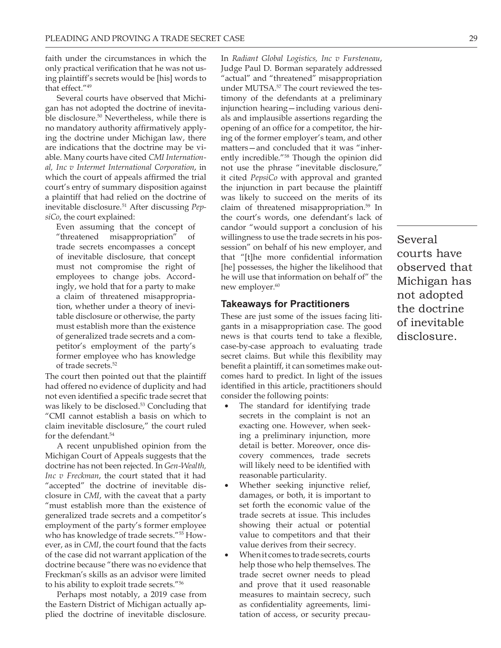faith under the circumstances in which the only practical verification that he was not using plaintiff's secrets would be [his] words to that effect."<sup>49</sup>

Several courts have observed that Michigan has not adopted the doctrine of inevitable disclosure.<sup>50</sup> Nevertheless, while there is no mandatory authority affirmatively applying the doctrine under Michigan law, there are indications that the doctrine may be viable. Many courts have cited CMI International, Inc v Intermet International Corporation, in which the court of appeals affirmed the trial court's entry of summary disposition against a plaintiff that had relied on the doctrine of inevitable disclosure.<sup>51</sup> After discussing PepsiCo, the court explained:

Even assuming that the concept of "threatened misappropriation"  $\alpha$ f trade secrets encompasses a concept of inevitable disclosure, that concept must not compromise the right of employees to change jobs. Accordingly, we hold that for a party to make a claim of threatened misappropriation, whether under a theory of inevitable disclosure or otherwise, the party must establish more than the existence of generalized trade secrets and a competitor's employment of the party's former employee who has knowledge of trade secrets.<sup>52</sup>

The court then pointed out that the plaintiff had offered no evidence of duplicity and had not even identified a specific trade secret that was likely to be disclosed.<sup>53</sup> Concluding that "CMI cannot establish a basis on which to claim inevitable disclosure," the court ruled for the defendant.<sup>54</sup>

A recent unpublished opinion from the Michigan Court of Appeals suggests that the doctrine has not been rejected. In Gen-Wealth, Inc v Freckman, the court stated that it had "accepted" the doctrine of inevitable disclosure in CMI, with the caveat that a party "must establish more than the existence of generalized trade secrets and a competitor's employment of the party's former employee who has knowledge of trade secrets."<sup>55</sup> However, as in CMI, the court found that the facts of the case did not warrant application of the doctrine because "there was no evidence that Freckman's skills as an advisor were limited to his ability to exploit trade secrets."<sup>56</sup>

Perhaps most notably, a 2019 case from the Eastern District of Michigan actually applied the doctrine of inevitable disclosure.

In Radiant Global Logistics, Inc v Fursteneau, Judge Paul D. Borman separately addressed "actual" and "threatened" misappropriation under MUTSA.<sup>57</sup> The court reviewed the testimony of the defendants at a preliminary injunction hearing-including various denials and implausible assertions regarding the opening of an office for a competitor, the hiring of the former employer's team, and other matters-and concluded that it was "inherently incredible."<sup>58</sup> Though the opinion did not use the phrase "inevitable disclosure," it cited PepsiCo with approval and granted the injunction in part because the plaintiff was likely to succeed on the merits of its claim of threatened misappropriation.<sup>59</sup> In the court's words, one defendant's lack of candor "would support a conclusion of his willingness to use the trade secrets in his possession" on behalf of his new employer, and that "[t]he more confidential information [he] possesses, the higher the likelihood that he will use that information on behalf of" the new employer.<sup>60</sup>

## **Takeaways for Practitioners**

These are just some of the issues facing litigants in a misappropriation case. The good news is that courts tend to take a flexible, case-by-case approach to evaluating trade secret claims. But while this flexibility may benefit a plaintiff, it can sometimes make outcomes hard to predict. In light of the issues identified in this article, practitioners should consider the following points:

- The standard for identifying trade secrets in the complaint is not an exacting one. However, when seeking a preliminary injunction, more detail is better. Moreover, once discovery commences, trade secrets will likely need to be identified with reasonable particularity.
- Whether seeking injunctive relief, damages, or both, it is important to set forth the economic value of the trade secrets at issue. This includes showing their actual or potential value to competitors and that their value derives from their secrecy.
- When it comes to trade secrets, courts help those who help themselves. The trade secret owner needs to plead and prove that it used reasonable measures to maintain secrecy, such as confidentiality agreements, limitation of access, or security precau-

Several courts have observed that Michigan has not adopted the doctrine of inevitable disclosure.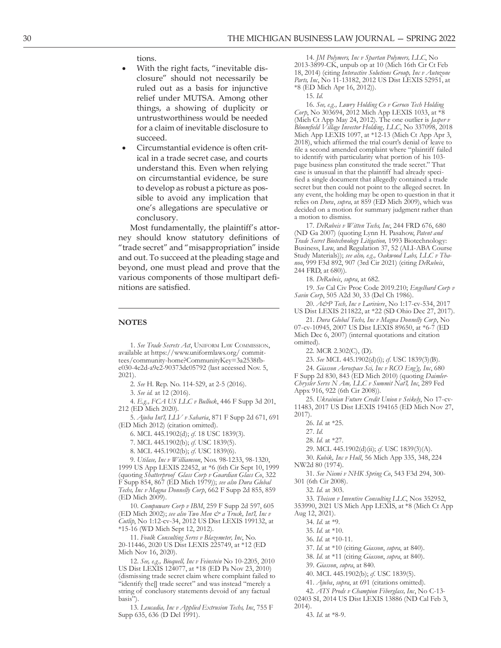## tions.

- With the right facts, "inevitable disclosure" should not necessarily be ruled out as a basis for injunctive relief under MUTSA. Among other things, a showing of duplicity or untrustworthiness would be needed for a claim of inevitable disclosure to succeed.
- Circumstantial evidence is often critical in a trade secret case, and courts understand this. Even when relying on circumstantial evidence, be sure to develop as robust a picture as possible to avoid any implication that one's allegations are speculative or conclusory.

Most fundamentally, the plaintiff's attorney should know statutory definitions of "trade secret" and "misappropriation" inside and out. To succeed at the pleading stage and beyond, one must plead and prove that the various components of those multipart definitions are satisfied.

#### **NOTES**

1. See Trade Secrets Act, UNIFORM LAW COMMISSION, available at https://www.uniformlaws.org/committees/community-home?CommunityKey=3a2538fbe030-4e2d-a9e2-90373dc05792 (last accessed Nov. 5,  $2021$ ).

2. See H. Rep. No. 114-529, at 2-5 (2016).

3. See id. at 12 (2016).

4. E.g., FCA US LLC v Bullock, 446 F Supp 3d 201, 212 (ED Mich 2020)

5. Ajuba Int'l, LLV v Saharia, 871 F Supp 2d 671, 691 (ED Mich 2012) (citation omitted).

6. MCL 445.1902(d); cf. 18 USC 1839(3).

7. MCL 445.1902(b); cf. USC 1839(5).

8. MCL 445.1902(b); cf. USC 1839(6).

9. Utilase, Inc v Williamson, Nos. 98-1233, 98-1320, 1999 US App LEXIS 22452, at \*6 (6th Cir Sept 10, 1999 (quoting Shatterproof Glass Corp v Guardian Glass Co, 322 F Supp 854, 867 (ED Mich 1979)); see also Dura Global Techs, Inc v Magna Donnelly Corp, 662 F Supp 2d 855, 859 (ED Mich 2009).

10. Compuware Corp v IBM, 259 F Supp 2d 597, 605 (ED Mich 2002); see also Two Men & a Truck, Int'l, Inc v Cutlip, No 1:12-cv-34, 2012 US Dist LEXIS 199132, at \*15-16 (WD Mich Sept 12, 2012).

11. Foulk Consulting Servs v Blazemeter, Inc, No. 20-11446, 2020 US Dist LEXIS 225749, at \*12 (ED Mich Nov 16, 2020).

12. See, e.g., Bioquell, Inc v Feinstein No 10-2205, 2010 US Dist LEXIS 124077, at \*18 (ED Pa Nov 23, 2010) (dismissing trade secret claim where complaint failed to "identify the[] trade secret" and was instead "merely a string of conclusory statements devoid of any factual basis").

13. Leucadia, Inc v Applied Extrusion Techs, Inc, 755 F Supp 635, 636 (D Del 1991).

14. JM Polymers, Inc v Spartan Polymers, LLC, No 2013-3899-CK, unpub op at 10 (Mich 16th Cir Ct Feb 18, 2014) (citing Interactive Solutions Group, Inc v Autozone Parts, Inc, No 11-13182, 2012 US Dist LEXIS 52951, at \*8 (ED Mich Apr 16, 2012)).

 $15.$   $Id.$ 

16. See, e.g., Lowry Holding Co v Geroco Tech Holding Corp, No 303694, 2012 Mich App LEXIS 1033, at \*8 (Mich Ct App May 24, 2012). The one outlier is *Jasper v* Bloomfield Village Investor Holding, LLC, N0 337098, 2018 Mich App LEXIS 1097, at \*12-13 (Mich Ct App Apr 3, 2018), which affirmed the trial court's denial of leave to file a second amended complaint where "plaintiff failed to identify with particularity what portion of his 103page business plan constituted the trade secret." That case is unusual in that the plaintiff had already specified a single document that allegedly contained a trade secret but then could not point to the alleged secret. In any event, the holding may be open to question in that it relies on Dura, supra, at 859 (ED Mich 2009), which was decided on a motion for summary judgment rather than a motion to dismiss.

17. DeRubeis v Witten Techs, Inc, 244 FRD 676, 680 (ND Ga 2007) (quoting Lynn H. Pasahow, Patent and Trade Secret Biotechnology Litigation, 1993 Biotechnology: Business, Law, and Regulation 37, 52 (ALI-ABA Course Study Materials)); see also, e.g., Oakwood Labs, LLC v Thanoo, 999 F3d 892, 907 (3rd Cir 2021) (citing DeRubeis, 244 FRD, at 680)).

18. DeRubeis, supra, at 682.

19. See Cal Civ Proc Code 2019.210; Engelbard Corp v Savin Corp, 505 A2d 30, 33 (Del Ch 1986).

20. A&P Tech, Inc v Lariviere, No 1:17-cv-534, 2017 US Dist LEXIS 211822, at \*22 (SD Ohio Dec 27, 2017).

21. Dura Global Techs, Inc v Magna Donnelly Corp, No 07-cv-10945, 2007 US Dist LEXIS 89650, at \*6-7 (ED Mich Dec 6, 2007) (internal quotations and citation omitted).

22. MCR  $2.302(C)$ , (D).

23. See MCL 445.1902(d)(i); cf. USC 1839(3)(B).

24. Giasson Aerospace Sci, Inc v RCO Eng'g, Inc, 680 F Supp 2d 830, 843 (ED Mich 2010) (quoting Daimler-Chrysler Servs N Am, LLC v Summit Nat'l, Inc, 289 Fed Appx 916, 922 (6th Cir 2008)).

25. Ukrainian Future Credit Union v Seikely, No 17-cv-11483, 2017 US Dist LEXIS 194165 (ED Mich Nov 27,  $2017$ ).

- 26. Id. at \*25.
- 27. Id.
- 28. Id. at \*27.
- 29. MCL 445.1902(d)(ii); cf. USC 1839(3)(A).

30. Kubik, Inc v Hull, 56 Mich App 335, 348, 224 NW2d 80 (1974).

31. See Niemi v NHK Spring Co, 543 F3d 294, 300-301 (6th Cir 2008).

32. Id. at 303.

33. Theisen v Inventive Consulting LLC, Nos 352952,

353990, 2021 US Mich App LEXIS, at \*8 (Mich Ct App Aug 12, 2021).

34. Id. at \*9.

- 35. Id. at \*10.
- 36. Id. at \*10-11.

37. Id. at \*10 (citing Giasson, supra, at 840).

38. Id. at \*11 (citing Giasson, supra, at 840).

39. Giasson, supra, at 840.

40. MCL 445.1902(b); cf. USC 1839(5).

41. Ajuba, supra, at 691 (citations omitted).

42. ATS Prods v Champion Fiberglass, Inc, No C-13-

02403 SI, 2014 US Dist LEXIS 13886 (ND Cal Feb 3,  $2014$ ).

43. Id. at \*8-9.